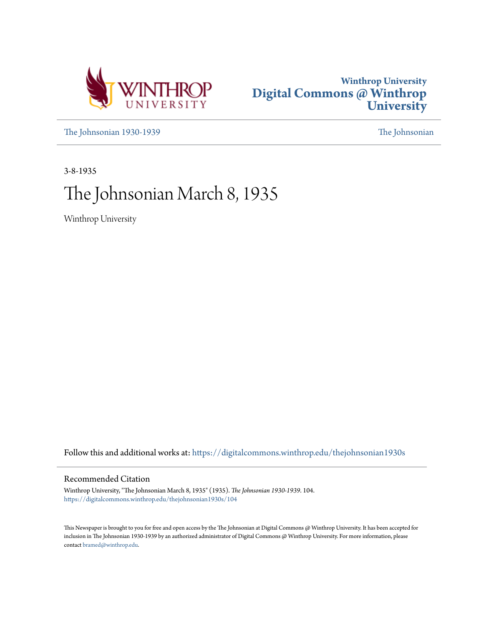



[The Johnsonian 1930-1939](https://digitalcommons.winthrop.edu/thejohnsonian1930s?utm_source=digitalcommons.winthrop.edu%2Fthejohnsonian1930s%2F104&utm_medium=PDF&utm_campaign=PDFCoverPages) [The Johnsonian](https://digitalcommons.winthrop.edu/thejohnsonian_newspaper?utm_source=digitalcommons.winthrop.edu%2Fthejohnsonian1930s%2F104&utm_medium=PDF&utm_campaign=PDFCoverPages)

3-8-1935

# The Johnsonian March 8, 1935

Winthrop University

Follow this and additional works at: [https://digitalcommons.winthrop.edu/thejohnsonian1930s](https://digitalcommons.winthrop.edu/thejohnsonian1930s?utm_source=digitalcommons.winthrop.edu%2Fthejohnsonian1930s%2F104&utm_medium=PDF&utm_campaign=PDFCoverPages)

## Recommended Citation

Winthrop University, "The Johnsonian March 8, 1935" (1935). *The Johnsonian 1930-1939*. 104. [https://digitalcommons.winthrop.edu/thejohnsonian1930s/104](https://digitalcommons.winthrop.edu/thejohnsonian1930s/104?utm_source=digitalcommons.winthrop.edu%2Fthejohnsonian1930s%2F104&utm_medium=PDF&utm_campaign=PDFCoverPages)

This Newspaper is brought to you for free and open access by the The Johnsonian at Digital Commons @ Winthrop University. It has been accepted for inclusion in The Johnsonian 1930-1939 by an authorized administrator of Digital Commons @ Winthrop University. For more information, please contact [bramed@winthrop.edu](mailto:bramed@winthrop.edu).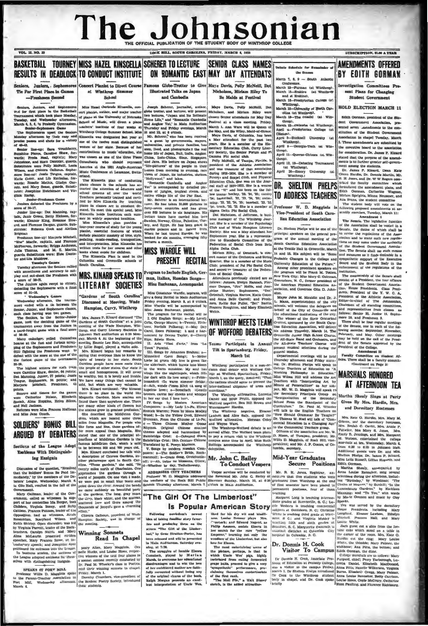# The Johnson of the STORIAN SUBSCRIPTION, SLOB A YEAR

**ROCK HILL SOUTH CAROLINA, FRIDAY, MARCH & 19** 

### BASKETBALL TOURNEY MISS HAZEL KINSCELLA SCHERER TO LECTURE SENIOR CLASS NAMES ON ROMANTIC EASTIMAY DAY ATTENDATS **RESULTS IN DEADLOCK TO CONDUCT INSTITUTE!** the Ser March 7, 8, 9 - South Atlanti

.<br>Seniors, Juniors, Sophomore Tie For First Place in Campa -Freshmen Second

VOL. 12, NO. 19

iors, Juniors, and Sophon<br>for first place in the Bask<br>nament which took place Mo<br>lay, and Wednesday afters<br>h 4, 5, 6, in Peabody Gymna ed for fl

Senior-Sephemere Game<br>The Sophemeres upert the S<br>Conday afternoon by their can ay su shots for a vic

more the-up: Jessie Teague, captain, Katle Coker, and Lib Kerhulas, for-wards; Rosalic Mathia, Gladys Garrett, and Mary Sease, guards. Substi-Josephine Hutch on and Virrinta Harby,

 $\overline{1}$ r-Frei nan Game Junie re defeated the Freshmen by a

re of 20-17. or line-up: Dot Manning, cap-7 In Janie On en Batty Hickson, for-∷∵ nor King, Rosanne How-Torence Dargan, guards. Sub<br>Rebecca Cook and Alether ed, and Plore

uen und Alethea and Alethea and Alethea and Methes and Plorence are entitled and Plorence are on the same and the state of the state of the state of the state of the state of the state of the state of the state of the stat Preshn.<br>Treshn.<br>Treshn. Wes" MacDe, capitalo, and Florence<br>deFrerono, forwards; Briggs Anderson<br>puls Thomas, and M. E. Martin<br>purds. Substitutes were: Else Dantz<br>er and Lih Muldrow.<br>Tuesday atternoon the Seniors railies

ler and Lih Muldrow.<br>Tuesday's General Sternoon the<br>with amoothness and as<br>play and out-shoot the<br>a score of 36-23.<br>The Junior

more or 36-23.<br>The Juniors again swept to victory,<br>tienting the Sophomores with a final<br>fore of 31-16.<br>''Wednesday's Gamer

score of 31-15.<br>
"Wednesday's Games (sames vector-score of 31-15.<br>
"Wednesday atternoon, the tournament index with a tie between the general<br>
Senior, Junior, and Sophonore classes, The Senior, Junior, and Sophonore classe



Ducture of the Soldiers' Bonus Re Paid Im-<br>mediately," by the members of the De-<br>baters' League, Wednesday, March 6.<br>in Glio Hall, resulted in the fall of the

ten leader of the Oov-Mary Gall Celled as witnesses to the Content<br>the contention 10s Berger, the Serger contention 10s Berger, the<br>y Virginia Boney, and Ruby<br>Prances Putnam, leader of the rt of h ort of har contentions Jda Berger, Lees scatter laws and there among the policies of phonon is the properties and the properties of phonon and the properties properties properties and the properties of the properties of t

Concert Planist to Direct Course Famous Globe-Trotter to Give Maye Davis, Polly McNeill, Dot at Winthrop Summer School

of 49-43.<br>
Sara Touchberry, Women of her state. Because Such<br>
Summine Pierce, Caroline Shaw, for-<br>
Summine Pierce, Caroline Shaw, for-<br>
Summine Pierce, Caroline Shaw, for-<br>
Summine Summine Constants and the three spaces i

| twenty miles north of Charleston. One provides in expressions through a special state of the second state in the second state of properties and the properties of the properties of the content of the content of the care

**Illustrated Talks on Japan** and Cambodia

Miss Reset Oertrude El-seella, con-<br>
Joseph Scherer, journalist, author.<br>
eert plantst, author, and major teacher Hobe trotter, and lecturer, will present perhaps may be<br>
of plants at the University of Nebraska (we better Winthrop College Simmer School, Miss and Triumphare State in Main Annihilation is a class meeting. Prints, and the School Miss 21 and 22, at 8 o'clock. heen received the May and Bis wifey, and the Miss Columbia, has been

EN DE CONSTANT DE L'ESPAGNON DE L'ESPAGNON DE L'ESPAGNON DE L'ESPAGNON DE L'ESPAGNON DE L'ESPAGNON DE L'ESPAGNON<br>DE L'ESPAGNON DE L'ESPAGNON DE L'ESPAGNON DE L'ESPAGNON DE L'ESPAGNON DE L'ESPAGNON DE L'ESPAGNON DE L'ESPAGN

and accuracy to out-<br>and accuracy to out-<br>ot the Freshmen with **MRS. KINARD SPEAKS TO** man, Italian, Russlan Songra-

era e vedando a la barreo de la contenente a contenente a la contenente a la contenente a la contenente a la contenente a la contenente a la contenente a la contenente a la contenente a la contenente a la contenente a la

"The Girl Of The Limberlost" Is Popular American Story

Following moviedom's newest<br>idea of taking familiar story favor-

lies and producing them on the loat." by Gene Stratton-Porter, has

les!," by Gene Siration-Perter, has been released and with the persented in the label and the label in the straight of the straight of the Simmultan Matchester (1937) and the Matchester metallical distance of the straight

Nicholson, Miriam Riley To Be Maids at Festival



For the Montenburg control and the method of the method of the method of the method of the state of the state of the state of the state of the state of the state of the state of the state of the state of the state of the

Mr. John C. Bailey **To Conduct Vespers** 

 $\begin{tabular}{c|c|c|c} \hline \textbf{Wr}, \textbf{R}, \textbf{H}, \textbf{J} \textbf{v} \textbf{v} \textbf{v} \textbf{v} \textbf{v} \textbf{v} \textbf{v} \textbf{v} \textbf{v} \textbf{v} \textbf{v} \textbf{v} \textbf{v} \textbf{v} \textbf{v} \textbf{v} \textbf{v} \textbf{v} \textbf{v} \textbf{v} \textbf{v} \textbf{v} \textbf{v} \textbf{v} \textbf{v} \textbf{v} \textbf{v} \textbf{v} \textbf{v} \textbf{$ 

For internal<br>temperature, and "To You," with words becaming positions, four of them bear<br>along independent of the dominant and the original star of the dominant<br>distribution of the star of the star of the star of the star

AMCFICAN Story<br>interference and the structure of the structure of the structure results<br>and the remain structure physical structure relations remains the remain<br>structure relation of the structure relation of the Lindscen of the f st rank.

Mail Pile," a Walt Disney

**Debute Schedule for Re** 

AMENDMENTS OFFERED

BY EDITH GORMAN

Investigation Committees Pre-

sent Plans for Changing

**Student Government** 

**HOLD ELECTION MARCH 11** 

dent Government Association, pre-

sociation in chapel Tuesday, March 5. These amendments are submitted to the asset

AT AFTERNOON TEA Martha Shealy Sings at Party Given By Mrs. Hardin, Mrs. and Dormitory Hostesses

Mrs. Kate O, Horella, Mrs., Mary M. Mich, Nicolaire, Michael Collain, Mrs. Reinho, O, cavitt, Mrs. Amate P, The Nicolas, Mrs. Mrs. Shariy B, Mrs. Praining, and Menom, and Menome tial, Nicolas Mrs. Nicolas materials at the

Martha Bheshy, accompanied by the Assume Advance American selections divided in the selection of the Martham Chemical Clouds of Headway. The Woodman: The Luxembourg Gardens," by Sunhill; The Luxembourg Gardens," by Sunhil

Mrs. Kate G. Hardin, Mrs. Mary M.

Edith Gorman, president of the

ution of the Student Go

7 March 12-Furman (at Winthrop) March 15-Erakire (at Winth and at Erakine).

ch 18-Presbyterian College (at ÷ throp). rch 18-University of Marth Cur-<br>olias (et Winthrop).<br>rch 19-The Citadel (at Win-March 18 Th

u. ñ throp).<br>ch 22—Catawim (st Winths

April 4 Presbyte m O April 5-Bucknell University (at

 $m1$ 

Mid-Year Graduates

Secure Positions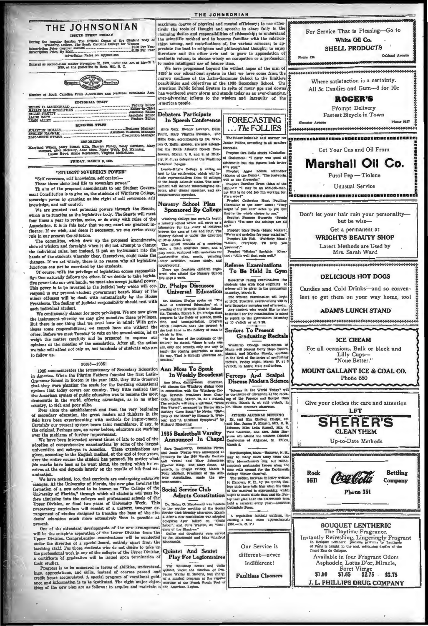|                                                                                                                                                                                                                                                                                                                                                                                                                                                                                                                        | THE JOHNSONIAN                                                                                                                                                                                                                                                                                                         |                                                                                                                                                                                                                                                                                                                           |                                                                                                                                                                                                                                                     |  |  |  |
|------------------------------------------------------------------------------------------------------------------------------------------------------------------------------------------------------------------------------------------------------------------------------------------------------------------------------------------------------------------------------------------------------------------------------------------------------------------------------------------------------------------------|------------------------------------------------------------------------------------------------------------------------------------------------------------------------------------------------------------------------------------------------------------------------------------------------------------------------|---------------------------------------------------------------------------------------------------------------------------------------------------------------------------------------------------------------------------------------------------------------------------------------------------------------------------|-----------------------------------------------------------------------------------------------------------------------------------------------------------------------------------------------------------------------------------------------------|--|--|--|
| THE JOHNSONIAN<br>ISSUED EVERY FRIDAY                                                                                                                                                                                                                                                                                                                                                                                                                                                                                  | maximum degree of physical and mental efficiency; to use effec-<br>tively the tools of thought and speech; to share fully in the<br>changing duties and responsibilities of citizenship; to understand<br>the scientific method and to become familiar with the relation-                                              |                                                                                                                                                                                                                                                                                                                           | For Service That is Pleasing-Go to<br>White Oil Co.                                                                                                                                                                                                 |  |  |  |
| During the hegular Session The Official Organ of the Student Body of Sudern Windhrop College, The South Carolina College for Women Student Section (require resolution Price Team Student Price Real Student Price Real Studen<br>Advertising Rates on Application<br>Entered as second-class matter November 21, 1923, under the Act of March 3.<br>1879, at the postoffice in Rock Hill, S. C.                                                                                                                       | ships among, and contributions of, the various sciences; to ap-<br>preciate the best in religious and philosophical thought; to enjoy<br>literature and the other arts and to grow in appreciation of<br>aesthetic values; to choose wisely an occupation or a profession;<br>to make intelligent use of leisure time. |                                                                                                                                                                                                                                                                                                                           | <b>SHELL PRODUCTS</b><br>Oakland Avenue<br>Phone 134                                                                                                                                                                                                |  |  |  |
| <b>Member</b>                                                                                                                                                                                                                                                                                                                                                                                                                                                                                                          | 1635' in our educational system in that we have come from the<br>narrow confines of the Latin-Grammar School to the limitless<br>American Public School System in spite of many ups and downs                                                                                                                          | We have progressed beyond the wildest hopes of the men of<br>possibilities and objectives of the 1935 Secondary School. The                                                                                                                                                                                               | Where satisfaction is a certainty.<br>All 5c Candies and Gum-3 for 10c                                                                                                                                                                              |  |  |  |
| Mamber of South Carolina Press Association and National Scholastic Asso<br><b>EDITOBIAL STAFF</b>                                                                                                                                                                                                                                                                                                                                                                                                                      | has weathered every storm and stands today as an ever-changing,<br>ever-advancing tribute to the wisdom and ingenuity of the<br>American people.                                                                                                                                                                       |                                                                                                                                                                                                                                                                                                                           | <b>ROGER'S</b><br><b>Prompt Delivery</b>                                                                                                                                                                                                            |  |  |  |
| Feature Editor<br>LEAH ALLEY ARRESTS AND THE RAIL HART<br><b>BUSINESS STAFF</b>                                                                                                                                                                                                                                                                                                                                                                                                                                        | Debaters Participate<br>In Speech Conference<br>Alice Safy, Eleanor Lawhon, Billie                                                                                                                                                                                                                                     | <b>FORECASTING</b><br>$\ldots$ The FOLLIES                                                                                                                                                                                                                                                                                | <b>Fastest Bicycle in Town</b><br>Phone 9127<br><b>Ebenezer Avenue</b>                                                                                                                                                                              |  |  |  |
| <b>BRPORTEMS</b><br>Maryland Wilson, Mary Stuart Mills, Harrist Finley, Betty Carrison, Mary<br>Burgard, Alice McNahry, Anne Mess, Pinky Webb, Dot Manning,<br>Louise Howe, Annie Rosenblam, Virginia McKelihen.                                                                                                                                                                                                                                                                                                       | Pruitt, Mary Virginis Plowden, and<br>Billie Cole, accompanied by Dr. War-<br>ren O. Keith, sponso, are now attend-<br>ing the South Atlantic Speech Con-<br>ference, March 7, 8, and 9, at Hick-                                                                                                                      | The future looks fair and warmer for<br>Junior Pollies, arourding to all weather<br>forecasts.<br>Prophet Ora Belle Hucks (Custodian<br>of Costumes): "I naver was good at E                                                                                                                                              | Get Your Gas and Oil From                                                                                                                                                                                                                           |  |  |  |
| FRIDAY, MARCH 8, 1935<br>"STUDENT SOVEREIGN POWER"<br>"Self reverence, self knowledge, self control-                                                                                                                                                                                                                                                                                                                                                                                                                   | ory, N. C., as delegates of the Winthrop<br>Debaters' League.<br>Lenoir-Rhyne College is soting as<br>host to the conference, which will in-<br>clude representatives from 40 colleges                                                                                                                                 | arithmetic but the figures look better<br>this year."<br>Prophet Anna Louise Renneker<br>(Master of the Dance). "The footworks<br>will be like fireworks."                                                                                                                                                                | <b>Marshall Oil Co.</b><br>Purol Pep - Tiolene                                                                                                                                                                                                      |  |  |  |
| These three slone lead life to sovereign power."<br>Th aim of the proposed amendments to our Student Govern-<br>ment Constitution is to give us, the students of Winthrop College,<br>sovereign power by granting us the right of self reverence, self                                                                                                                                                                                                                                                                 | of the South Atlantic states. The tour-<br>nament will include intercollegiate de-<br>bates, after dinner speeches, and ex-<br>temporaneous speeches.                                                                                                                                                                  | Prophet Caroline Crum (Man of the<br>Minute): "I may be an odd-job-man,<br>Lut this is no odd job I'm working for.<br>t's a wowl"<br>Prophet Catherine Hunt Paulling                                                                                                                                                      | <b>Unusual Service</b>                                                                                                                                                                                                                              |  |  |  |
| knowledge, and self control.<br>We are granted vast potential powers through the Senate,<br>which is to function as the legislative body. The Senate will meet<br>four times a year to revise, make, or do away with rules of the<br>Association. It is in this body that we can exert our greatest in-                                                                                                                                                                                                                | <b>Nursery School Plan</b><br><b>Sponsored By College</b><br>Winthrop College has recently begun<br>a nursery school which will sarve as a                                                                                                                                                                             | (Exceutive of the Etnr' Acte); "They<br>might be just entr' actes to you but<br>they're the whole cheese to me."<br>Prophet Prances Burnette (Scenic<br>Artist): "I'm sure the settings are all<br>set."                                                                                                                  | Don't let your hair ruin your personality-<br>but be wise-                                                                                                                                                                                          |  |  |  |
| fluence. If we wish, and deem it necessary, we can revise every<br>rule in our present Constitution.<br>The committee, which drew up the proposed amendments,<br>showed wisdom and foresight when it did not attempt to change                                                                                                                                                                                                                                                                                         | laboratory for the study of children<br>betwen the ages of two and four. The<br>Nursery School is under the direction<br>of Miss Alma Lvng.<br>The school consists of a receiving<br>com, a main activities room, and a                                                                                                | Prophet Mary Pecle (Music Maker):<br>We've got melodies for your maladies."<br>Prophet Lib Holt (Publicity Man):<br>Listen, everybody. I'll keep you<br>"postered"."                                                                                                                                                      | Get a permanent at<br><b>WRIGHT'S BEAUTY SHOP</b><br>Latest Methods are Used by                                                                                                                                                                     |  |  |  |
| the individual rules, but instead, it put an instrument into the<br>hands of the students whereby they, themselves, could make the<br>changes. If we act wisely, there is no reason why all legislative motor activities, nature study, and<br>functions can not be exercised by the students.<br>Of course, with the privilege of legislation comes responsibil-                                                                                                                                                      | play room, equipped with materials for<br>constructive play, music, painting,<br>housekeeping.<br>There are fourteen children regis-                                                                                                                                                                                   | Prophet "Mickey" Spelghts (Crea-<br>tor): "All's well that ends well."<br>Referee Examinations<br>To Be Held In Gym                                                                                                                                                                                                       | Mrs. Sarah Ward                                                                                                                                                                                                                                     |  |  |  |
| ity: One naturally follows the other. If we decide to take legisla-<br>tive power into our own hands, we must also accept judicial power.<br>This power is to be invested in the judicial body which will cor- Dr. Phelps Discusses<br>respond to our present student government board. Many of the                                                                                                                                                                                                                    | tered, who attend the Nursery School<br>five days a week.<br>Universal Education                                                                                                                                                                                                                                       | Baskethall rating examinations for<br>students who wish local eligibility to<br>referce will be given in the gymnasium<br>Saturday, March 8,                                                                                                                                                                              | <b>DELICIOUS HOT DOGS</b><br>Candies and Cold Drinks-and so conven-                                                                                                                                                                                 |  |  |  |
| minor offenses will be dealt with sutomatically by the House<br>Presidents. The feeling of judicial responsibility should rest with<br>each individual student.<br>We continuously clamor for more privileges. We are now given<br>the instrument whereby we may give ourselves these privileges. progress in the fields of science, medi-                                                                                                                                                                             | Dr. Shelton Phelps spoke on "The<br>Need of Universal Education" at a<br>meeting of the Kiwanis Club in Colum-<br>bia, Tuesday, March 5. Dr. Phelps cited                                                                                                                                                              | The written examination will begin<br>at 10:30. Practical examinations will be<br>held Saturday morning and afternoon.<br>Any student who would like to play<br>basketball for the examination is asked<br>to report to the gymnasium Saturday                                                                            | ient to get them on your way home, tool<br><b>ADAM'S LUNCH STAND</b>                                                                                                                                                                                |  |  |  |
| But there is one thing that we must bear in mind: With priv- cine.<br>ileges come responsibilities; we cannot have one without the<br>other. Before we meet Tuesday to vote on the amendments, let us<br>weigh the matter carefully and be prepared to express our                                                                                                                                                                                                                                                     | and transportation, progress<br>which illustrates that the present is<br>the best time in the history of man in<br>which to live.<br>"In the face of the problems of the                                                                                                                                               | at 10 o'clock or at 2:30.<br><b>Seniors To Present</b><br><b>Graduating Recitals</b>                                                                                                                                                                                                                                      | <b>ICE CREAM</b>                                                                                                                                                                                                                                    |  |  |  |
| opinions at the meeting of the association. After all, the action nume," he stated, "there is only one<br>we take will affect not only us, hut hundreds of students who are<br>to follow us.<br>1635?-1935!                                                                                                                                                                                                                                                                                                            | aid, only one remedy, only one way to<br>teach the coming generation to steer<br>its way. That is through universal ed-<br>ucntlon."                                                                                                                                                                                   | Winthrop College Department of<br>Music will present Betty Hope Brown.<br>plantst, and Martha Shealy, soprano,<br>In the first of the series of graduating<br>recitals, Friday night, March 18, st 8                                                                                                                      | For all occasions. Bulk or block and<br>Lilly Cups-<br>"None Better."                                                                                                                                                                               |  |  |  |
| 1935 commemorates the tercentenary of Secondary Education Ann Moss To Speak<br>in America. When the Pilgrim Fathers founded the first Latin-<br>Grammar School in Boston in the year 1635, they little dreamed<br>that they were planting the seeds for the far-flung educational                                                                                                                                                                                                                                      | will discuss the Winthrop dining room                                                                                                                                                                                                                                                                                  | o'clock, in Music Hall auditorium.<br>In Weekly Broadcast Forceps And Scalpel<br>Ane Moss, dining-room chairman, Discuss Modern Science                                                                                                                                                                                   | <b>MOUNT GALLANT ICE &amp; COAL CO.</b><br>Phone 660                                                                                                                                                                                                |  |  |  |
| system that today covers our country. They little realized that<br>the American system of public education was to become the most<br>democratic in the world, offering advantages, as in no other<br>country, to rich and poor alike.<br>Ever since the establishment and from the very beginning                                                                                                                                                                                                                      | in connection with the Winthrop Col-<br>lege Sextette broadcast from Char-<br>lotte, Sunday, March 10, at 1 o'clock.<br>You There?", arranged by Hector Mac- Dr. Eloise Oreene's chanvoom.<br>Carthy; "Love Song," by Nevin; "Chil-                                                                                    | "Science in the World Today" will<br>be the theme of discussion at the meet-<br>ing of the Porceps and Scalpal Club<br>The sextet's will sing a spiritual, "Were Friday, March 8, at 4:15 o'clock, in                                                                                                                     | Give your clothes the care and attention<br><b>LFT</b>                                                                                                                                                                                              |  |  |  |
| of secondary education, the great leaders and thinkers in the<br>field have been experimenting with methods for improvement.<br>Certsinly our present system bears faint resemblance, if any, to Richard Kleserling.<br>the original. Perhaps now, as never before, educators are working<br>over the problems of further improvement.<br>We have been interested several times of late to read of the<br>adoption of comprehensive examinations by some of the largest                                                | drep of the Moon" by Eleanor R. War-<br>ren; and "A Birdland Symphony" by<br>1935 Basketball Varsity<br>Announced In Chapel                                                                                                                                                                                            | <b>ATTEND ALUMNAE MEETING</b><br>Dr. and Mrs. Shelton Phelps, Dr.<br>and Mrr. James P. Kinard, Mrs. D. B.<br>Johnson, Miss Leila Russell, Mrs. C.<br>Fred Laurence, and Mrs. John Har-<br>grove will attend the Eastern District<br>Conference of Alumase, in Dillon,<br>March 9.                                         | <b>SHERER'S</b><br><b>CLEAN THEM</b><br><b>Up-to-Date Methods</b>                                                                                                                                                                                   |  |  |  |
| universities and colleges in America. These examinations are<br>given, according to the English method, at the end of four years,<br>over the entire course the student has pursued. No matter what<br>his marks have been as he went along, the rating which he re-<br>caives at the end depends largely on the results of his final ex-                                                                                                                                                                              | Sara Touchberry, Sunshine Pierce<br>and Jessie Teague were announced as<br>forwards for the 1935 Varsity Basket-<br>ball Team! and Mary Johnstone,<br>Eleanor King, and Mary Seace, as<br>guards, in chapel Friday, March 8.                                                                                           | Northampton, Mass.-Hanover, N. H.<br>may be many miles away from this<br>little Massachusetts city, but North-<br>ampton's postmaster knows when the<br>time rolls around for the Dartmouth                                                                                                                               | <u> EN EN HERENE HENEBERT HER BERGHER HENEBERG HENEBERG HER EN HER EN HENEBERG </u>                                                                                                                                                                 |  |  |  |
| amination.<br>We have noticed, too, that curricula are undergoing extensive<br>changes. At the University of Florida, the new plan involves the<br>formation of a new school to be known as "The College of the<br>University of Florida," through which all students will pass be-<br>fore admission into the colleges and professional achools of the                                                                                                                                                                | Polly McNeill, President of the Ath-<br>letic Association, made the an-<br>nouncement.<br>Social Service Club<br><b>Adopts Constitution</b>                                                                                                                                                                            | College Winter Carn', val.<br>The sudden increase in letter written<br>to Hanover, N. H., by the Smith Col-<br>lege girls here tells him when the time<br>of the carnival is approaching, which<br>ought to make Uncle Sam and Mr. Far-<br>ley real glad that the Dartmouth boys<br>hold a carnival every year.-Associate | Bottling<br>Rock<br>Hill<br>Company<br>Phone 351                                                                                                                                                                                                    |  |  |  |
| Upper Division, or final two years of University Work. This<br>preparatory curriculum will consist of a uniform two-year ar-<br>rangement of studies designed to broaden the base of the stu-<br>dents' education much more extensively than is possible at<br>present.                                                                                                                                                                                                                                                | Dr. Helen G. Macdonald was hostess<br>to the regular meeting of the Social Collegiato Press.<br>Service Club Monday afternoon, March<br>4. After a new constitution was adopted<br>Josephine Ayer talked on "Child<br>Labor"; and Julia Warren, on "Chil-                                                              | A regulation football uniform, in-<br>cluding a ball, costs approximately<br>\$300 .- (A. O. P.)                                                                                                                                                                                                                          | <b>BOUQUET LENTHERIC</b>                                                                                                                                                                                                                            |  |  |  |
| One of the attendant developments of the new arrangement<br>will be the complete separation of the Lower Division from the<br>Upper Division, Comprehensive examinations will be conducted by Dr. Macdonald and Miss Windred<br>under the direction of a special board, entirely apart from the Macdonaid.<br>teaching staff. For those students who do not desire to take up<br>the professional work in any of the colleges of the Upper Division,<br>a certificate of graduation will be issued upon termination of | dren of the Shadows."<br>Coffee and doughnuts were served<br>Quintet And Sextet<br><b>Play For Legionnaires</b>                                                                                                                                                                                                        | Our Service is<br>different-never                                                                                                                                                                                                                                                                                         | The Daytime Fragrance.<br>Instantly Refreshing, Lingeringly Fragrant<br>In Bouquet Lenthert:, precious perfume by Lenthert<br>of Paris is caught in the cool, refreming depths of the<br>finest Rau de Cologne.<br>Available in four Fragrant Odors |  |  |  |
| their studies.<br>Progress is to be measured in terms of abilities, understand-<br>ings, appreciations, and skills, instead of courses passed and quintet, under the direction of Pro-<br>credit hours accumulated. A special program of vocational guid-int a matter B. Roberts, bad charge<br>ance and information is to be instituted. The eight major objec- meeting of the Frank Roach Post of<br>tives of the new plan are as follows: to acquire and maintain a the American Tegion.                            | The Winthrop Sexter and violin                                                                                                                                                                                                                                                                                         | indifferent!<br><b>Faultless Cleaners</b>                                                                                                                                                                                                                                                                                 | Asphodele, Lotus D'or, Miracle,<br>Foret Vierge<br>\$1.00<br>\$1.65<br>$$2.75$ $$3.75$<br>J. L. PHILLIPS DRUG COMPANY                                                                                                                               |  |  |  |

 $\ddot{\cdot}$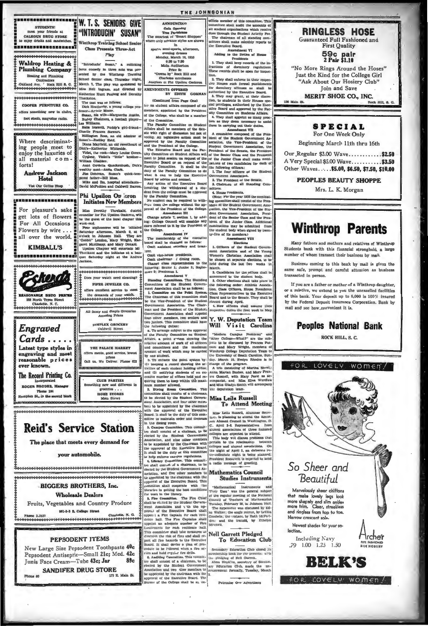

New Large Size Pepsodent Toothpaste 40c Pepsodent Antiseptic-Small 21c; Med. 42c 89c Junis Face Cream-Tube 43c; Jar

**SANDIFER DRUG STORE** 122 E. Main St.

### **THE JOHNSONIAN** er of this AMMOTHSTRAT ta Opening t organizations which<br>uth the Student Activi Tres Pa the chairman of all at<br>ties shall make tv Pe The su The chair re only advance styles are sh suarum<br>thiy rep  $\begin{tabular}{ll} $\mathbf{a}$ & are \end{tabular}$  are<br>developed, afternoming directors  $[0.010, 1.0010] \text{Mach} \times \text{March} \times \text{Mach} \times \text{Moch} \times \text{Mich} \times \text{Mich} \times \text{Mich} \times \text{Mich} \times \text{Mich} \times \text{Mich} \times \text{Mich} \times \text{Mich} \times \text{Mich} \times \text{Mich} \times \text{Mich} \times \text{Mich} \times \text{Mich} \times \text{Mich} \$ shall make m<br>cutive Board.  $heB$ ent VT Adding to the Drile  $\overline{a}$  Ho Adding to the Detles of House<br>L. They shall keep records of the infractions of downizory regulations<br>These records shall be open for inspec-"Introducin' issan." a routical<br>gan. The consequence of the state of the function  $\mathcal{L}^{\text{max}}$ . The<br>case of the Winthrop Training  $\mathcal{L}^{\text{max}}$  . The state of the State<br>distribution of the state of the Markole mechanic Price 5c<br>
"Gowns by" Rock Hill and<br>
Charlotte merchants<br>
spices of Phi Upsilon Omic next cours statu or open set imprese.<br>
2. They shall cancels the term experiment and the state of demular or the development of the state of the state of the State state of the State of the State of the State of the State EDITH GORMAN  $\overline{B}$ (Continued from Page One) 126 Main Rt. c on student affairs composed of sta members, appointed by the President of the Committee. The Paculty Committee on Studen Affairs shall be members of the Sen-Lettin in corrying out their composed of the Press<br>
[A counsilier composed of the Press<br>
letter of the Student Oovernment As-<br>
sociation, the Vete-Press<br>
contained the Student of the Student of the President<br>
Freidant of t ate with right of discussion but not of voting. All tegislative action must be ed by the Paculty ulty O and the P resident of the College.<br>scutive Board and the Pac-The E The Boiseuteve Board and the Pac-<br>
ulty Committee on Student Affairs will distribute Solve and the Pac-<br>
meter in Student Care Student of the Pac-<br>
Face-<br>
The Pac- and the Studi be the Studi be the Studi be the Studi be t ulty Co mmittee on Bludent Affairs  $\overline{u}$ 3. Chattmare of all Standing Comparison<br>in the Standing Comparison of all Standing Comparisons (Wave Pressidents, 1933 the nominating committee a<br>shall consider a lower 1933 the nomination of the Steeder of the Standing C Centri anisotate accession, and the<br>same of the control of the control of the control of the control of<br>the property of the control of the control of the control of<br> $\mathcal{L}_2$  and  $\mathcal{L}_3$  and<br> $\mathcal{L}_4$  and  $\mathcal{L}_5$  and announced to the student body.<br>3. Other elections shall take pince is<br>the following order: Athletic Associa-<br>tion, Class Officers, House Presidents com, common content of the Executive<br>Class Representatives to the Executive<br>Board and to the Senate. They shall be<br>cleaded during April.<br>4. New officers shall assume their<br>respective duties the first week in May. Y. W. Deputation Team Will Visit Carolina **Will V18IT Carolina**<br>
"Midden Campus Problem" and<br>
"Alier College-What?" are the sub-<br>
jects to be discussed by Prance Put<br>
in an and Mary Wright, momens of<br>
winning College Deputation Team to<br>
the Directricity of Bouth C of the Faculty Committee on Student<br>Affairs, a point s<sup>-st</sup>em showing the relative amount of work of all of<br>license and committees and the maximum smount of work which may be carried<br>smount of work which may be carried strongen of work which may be carried by any student.<br>
To consider the point system by the second showing the accordinate<br>
(1) Everythe a cecond showing the accordinate holding office:<br>
it is trivicted of an excessive unu Miss Leila Russell **To Attend Meeting** ment Association, and four other mem-<br>bens to be appointed by the Executive<br>with the approval of the Executive<br>Board. It shall be the duty of this com-Miss. Lella Russell, Alumnae So Beard, it shall be the duty of this cornel, in<br>the first cornel in the duty of the field of the duty and decorated<br>in the duting room. As the symmetric space of the symmetric state of<br> $\alpha$  at the symmetric between the det Name Again relationship and the alternational contractions of the Marchives can Alumni Council in Washington, D.<br>C. April 3-6, Representatives from alumni associations of three huntired alumnul associations of three humited<br>colleges are expected to attend.<br>This body will discuss problems that<br>pertain to the relationdarily between<br>colleges and alumni associations. On<br>the night of April 3, an eleborare in-<br> a radio message of greeting. thall convest of a chairman, to be **Mathematics Council Studies Instruments**

## RINGLESS HOSE

Guaranteed Full Fashioned and First Quality

## 59c pair<br>2 Pair \$1.10

"No More Rings Around the Hoses" Just the Kind for the College Girl "Ask About Our Hosiery Club" **Toin and Save** 

MERIT SHOE CO., INC.  $A$  Rill  $A$  C.

## **SPECIAL**

For One Week Only Beginning March 11th thru 16th

| Our Regular \$3.00 Wave\$2.50              |  |  |  |
|--------------------------------------------|--|--|--|
| A Very Special \$5.00 Wave \$3.50          |  |  |  |
| Other Waves\$5.00, \$6.50, \$7.50, \$10.00 |  |  |  |

**PEOPLES BEAUTY SHOPPE** 

Mrs. L. K. Morgan

## **Winthrop Parents**

Many fathers and mothers and relatives of Winthrop Students bank with this financial stronghold, a large number of whom transact their business by mail.

Business coming to this bank by mail is given the same safe, prompt and careful attention as business transacted in person.

If you are a father or mother of a Winthrop daughter, or a reletive, we extend to you the unexcelled facilities of this bank. Your deposit up to 5,000 is 100% insured by the Federal Deposit Insurance Corporation, Bank by mail and see how convenient it is.

### **Peoples National Bank**

ROCK HILL, S. C.

FOR LOVELY WOMEN!



of by the Student Government As-<br>too, and fire other members to<br>pointed by the chairman with the<br>pointed by Exceutive Boss-L This<br>interface and cooperate with the<br>tion in getting the best conditions<br>by the figure. The Fire

work in the library.<br>Fire Committee. The Fire Chief<br>Il be elected by the Student Clovern-

**g**, Fig. Committee. The Fire Chief Council of Technical capacitation and it is that<br>the elastical to the Buddent Gevern-  $\frac{1}{1}$  reading, February 29, in Johnson Hull,<br>but a discussion and it is the Space of the Secret